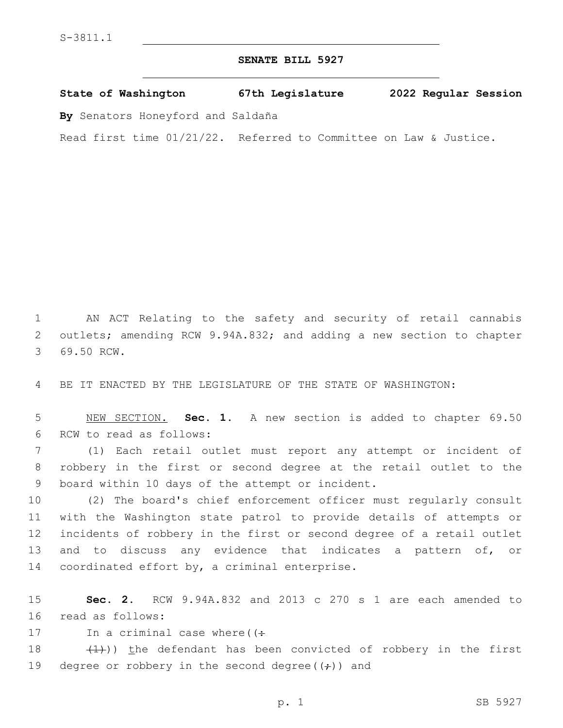## **SENATE BILL 5927**

**State of Washington 67th Legislature 2022 Regular Session**

**By** Senators Honeyford and Saldaña

Read first time 01/21/22. Referred to Committee on Law & Justice.

1 AN ACT Relating to the safety and security of retail cannabis 2 outlets; amending RCW 9.94A.832; and adding a new section to chapter 3 69.50 RCW.

4 BE IT ENACTED BY THE LEGISLATURE OF THE STATE OF WASHINGTON:

5 NEW SECTION. **Sec. 1.** A new section is added to chapter 69.50 6 RCW to read as follows:

7 (1) Each retail outlet must report any attempt or incident of 8 robbery in the first or second degree at the retail outlet to the 9 board within 10 days of the attempt or incident.

 (2) The board's chief enforcement officer must regularly consult with the Washington state patrol to provide details of attempts or incidents of robbery in the first or second degree of a retail outlet and to discuss any evidence that indicates a pattern of, or 14 coordinated effort by, a criminal enterprise.

15 **Sec. 2.** RCW 9.94A.832 and 2013 c 270 s 1 are each amended to 16 read as follows:

17 In a criminal case where  $($   $($   $\div$ 

18  $(1)$ )) the defendant has been convicted of robbery in the first 19 degree or robbery in the second degree( $(\div)$ ) and